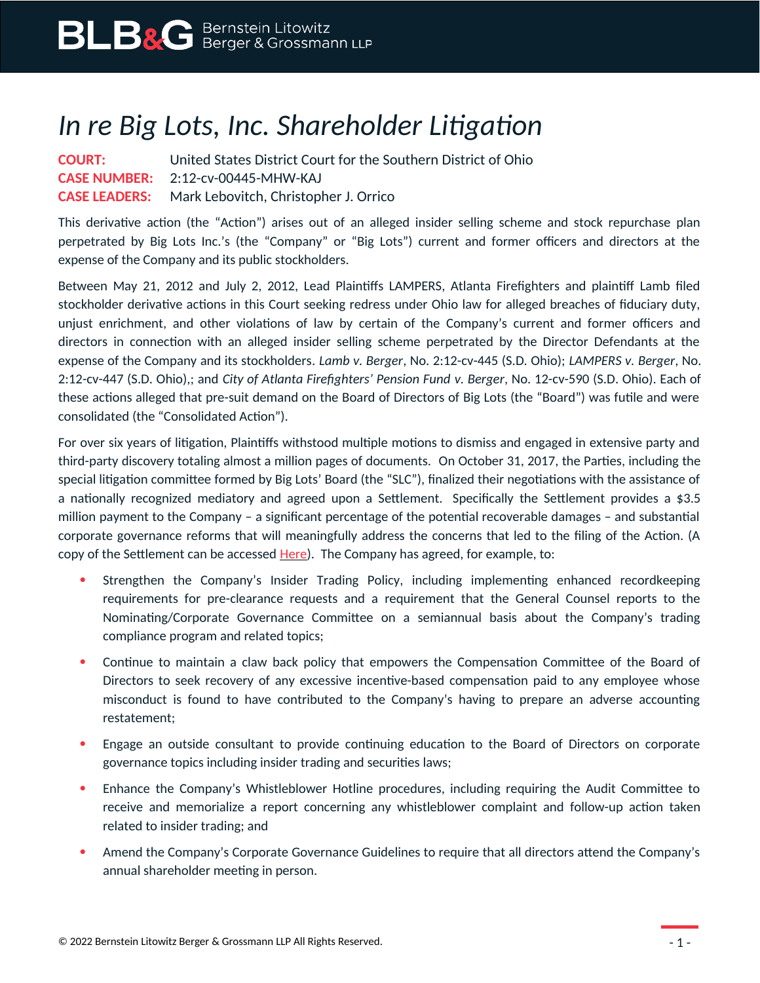## *In re Big Lots, Inc. Shareholder Litigation*

**COURT:** United States District Court for the Southern District of Ohio **CASE NUMBER:** 2:12-cv-00445-MHW-KAJ **CASE LEADERS:** Mark Lebovitch, Christopher J. Orrico

This derivative action (the "Action") arises out of an alleged insider selling scheme and stock repurchase plan perpetrated by Big Lots Inc.'s (the "Company" or "Big Lots") current and former officers and directors at the expense of the Company and its public stockholders.

Between May 21, 2012 and July 2, 2012, Lead Plaintiffs LAMPERS, Atlanta Firefighters and plaintiff Lamb filed stockholder derivative actions in this Court seeking redress under Ohio law for alleged breaches of fiduciary duty, unjust enrichment, and other violations of law by certain of the Company's current and former officers and directors in connection with an alleged insider selling scheme perpetrated by the Director Defendants at the expense of the Company and its stockholders*. Lamb v. Berger*, No. 2:12-cv-445 (S.D. Ohio); *LAMPERS v. Berger*, No. 2:12-cv-447 (S.D. Ohio),; and *City of Atlanta Firefighters' Pension Fund v. Berger*, No. 12-cv-590 (S.D. Ohio). Each of these actions alleged that pre-suit demand on the Board of Directors of Big Lots (the "Board") was futile and were consolidated (the "Consolidated Action").

For over six years of litigation, Plaintiffs withstood multiple motions to dismiss and engaged in extensive party and third-party discovery totaling almost a million pages of documents. On October 31, 2017, the Parties, including the special litigation committee formed by Big Lots' Board (the "SLC"), finalized their negotiations with the assistance of a nationally recognized mediatory and agreed upon a Settlement. Specifically the Settlement provides a \$3.5 million payment to the Company – a significant percentage of the potential recoverable damages – and substantial corporate governance reforms that will meaningfully address the concerns that led to the filing of the Action. (A copy of the Settlement can be accessed [Here](https://www.blbglaw.com/cases/big-lots/_res/id=Attachments/index=0/BLBG-#1142421-v1-2017-12-14_Ex__1%20(002).pdf)). The Company has agreed, for example, to:

- Strengthen the Company's Insider Trading Policy, including implementing enhanced recordkeeping requirements for pre-clearance requests and a requirement that the General Counsel reports to the Nominating/Corporate Governance Committee on a semiannual basis about the Company's trading compliance program and related topics;
- Continue to maintain a claw back policy that empowers the Compensation Committee of the Board of Directors to seek recovery of any excessive incentive-based compensation paid to any employee whose misconduct is found to have contributed to the Company's having to prepare an adverse accounting restatement;
- Engage an outside consultant to provide continuing education to the Board of Directors on corporate governance topics including insider trading and securities laws;
- Enhance the Company's Whistleblower Hotline procedures, including requiring the Audit Committee to receive and memorialize a report concerning any whistleblower complaint and follow-up action taken related to insider trading; and
- Amend the Company's Corporate Governance Guidelines to require that all directors attend the Company's annual shareholder meeting in person.